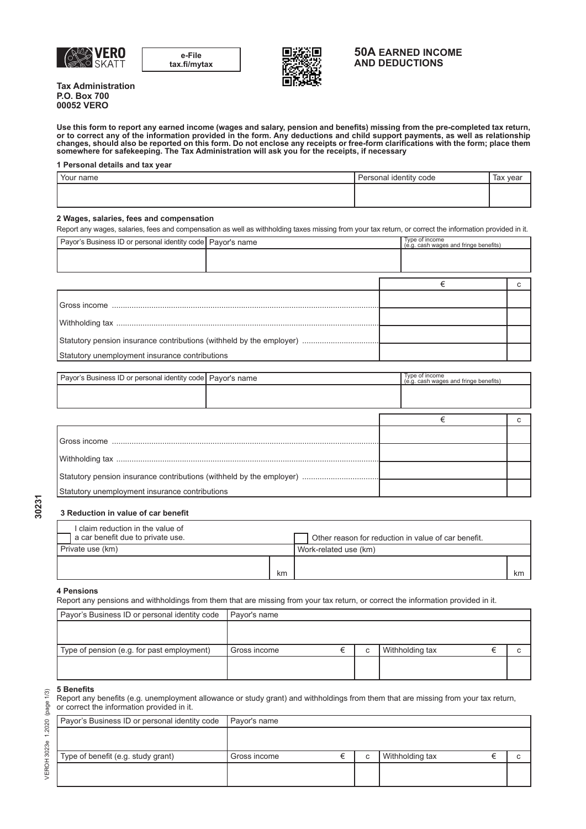

**e-File tax.fi/mytax**



## **50A EARNED INCOME AND DEDUCTIONS**

**Tax Administration P.O. Box 700 00052 VERO**

**Use this form to report any earned income (wages and salary, pension and benefits) missing from the pre-completed tax return, or to correct any of the information provided in the form. Any deductions and child support payments, as well as relationship changes, should also be reported on this form. Do not enclose any receipts or free-form clarifications with the form; place them somewhere for safekeeping. The Tax Administration will ask you for the receipts, if necessary**

#### **1 Personal details and tax year**

| Your name | Personal identity code | Tax year |
|-----------|------------------------|----------|
|           |                        |          |
|           |                        |          |

#### **2 Wages, salaries, fees and compensation**

Report any wages, salaries, fees and compensation as well as withholding taxes missing from your tax return, or correct the information provided in it.

| Payor's Business ID or personal identity code Payor's name |  |  | Type of income<br>(e.g. cash wages and fringe benefits) |  |
|------------------------------------------------------------|--|--|---------------------------------------------------------|--|
|                                                            |  |  |                                                         |  |
|                                                            |  |  |                                                         |  |
|                                                            |  |  |                                                         |  |
|                                                            |  |  |                                                         |  |
|                                                            |  |  |                                                         |  |
|                                                            |  |  |                                                         |  |
|                                                            |  |  |                                                         |  |
| Statutory unemployment insurance contributions             |  |  |                                                         |  |

| Payor's Business ID or personal identity code   Payor's name         |  |  | Type of income<br>(e.g. cash wages and fringe benefits) |  |
|----------------------------------------------------------------------|--|--|---------------------------------------------------------|--|
|                                                                      |  |  |                                                         |  |
|                                                                      |  |  |                                                         |  |
|                                                                      |  |  | €                                                       |  |
|                                                                      |  |  |                                                         |  |
|                                                                      |  |  |                                                         |  |
|                                                                      |  |  |                                                         |  |
| Statutory pension insurance contributions (withheld by the employer) |  |  |                                                         |  |
|                                                                      |  |  |                                                         |  |
| Statutory unemployment insurance contributions                       |  |  |                                                         |  |

## **3 Reduction in value of car benefit**

|                  | I claim reduction in the value of<br>a car benefit due to private use. |                       | Other reason for reduction in value of car benefit. |    |
|------------------|------------------------------------------------------------------------|-----------------------|-----------------------------------------------------|----|
| Private use (km) |                                                                        | Work-related use (km) |                                                     |    |
|                  |                                                                        |                       |                                                     |    |
|                  |                                                                        | km                    |                                                     | km |

#### **4 Pensions**

Report any pensions and withholdings from them that are missing from your tax return, or correct the information provided in it.

| Payor's Business ID or personal identity code | Payor's name |   |                 |  |
|-----------------------------------------------|--------------|---|-----------------|--|
|                                               |              |   |                 |  |
|                                               |              |   |                 |  |
| Type of pension (e.g. for past employment)    | Gross income | C | Withholding tax |  |
|                                               |              |   |                 |  |
|                                               |              |   |                 |  |

#### **5 Benefits**

VEROH 3023e 1.2020 (page 1/3)

VEROH 3023e 1.2020 (page 1/3)

Report any benefits (e.g. unemployment allowance or study grant) and withholdings from them that are missing from your tax return, or correct the information provided in it.

| Payor's Business ID or personal identity code | Payor's name |   |                 |  |
|-----------------------------------------------|--------------|---|-----------------|--|
|                                               |              |   |                 |  |
|                                               |              |   |                 |  |
| Type of benefit (e.g. study grant)            | Gross income | C | Withholding tax |  |
|                                               |              |   |                 |  |
|                                               |              |   |                 |  |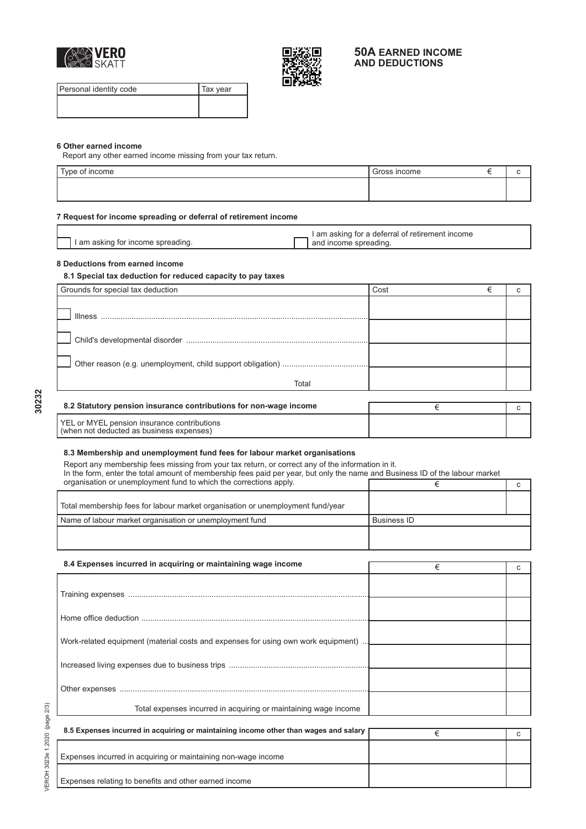



## **50A EARNED INCOME AND DEDUCTIONS**

Personal identity code Tax year

### **6 Other earned income**

Report any other earned income missing from your tax return.

| $TV$ no nt.<br>ype of income | ' Gross income |  |
|------------------------------|----------------|--|
|                              |                |  |
|                              |                |  |

### **7 Request for income spreading or deferral of retirement income**

|                                   | I am asking for a deferral of retirement income |
|-----------------------------------|-------------------------------------------------|
| I am asking for income spreading. | and income spreading.                           |

## **8 Deductions from earned income**

#### **8.1 Special tax deduction for reduced capacity to pay taxes**

| Grounds for special tax deduction | Cost |  |
|-----------------------------------|------|--|
|                                   |      |  |
| <b>Illness</b>                    |      |  |
|                                   |      |  |
|                                   |      |  |
|                                   |      |  |
|                                   |      |  |
|                                   |      |  |
| Total                             |      |  |

**30232**

| 8.2 Statutory pension insurance contributions for non-wage income                       |  |
|-----------------------------------------------------------------------------------------|--|
| YEL or MYEL pension insurance contributions<br>(when not deducted as business expenses) |  |

#### **8.3 Membership and unemployment fund fees for labour market organisations**

Report any membership fees missing from your tax return, or correct any of the information in it. In the form, enter the total amount of membership fees paid per year, but only the name and Business ID of the labour market organisation or unemployment fund to which the corrections apply.  $\epsilon$  corrections apply the corrections apply. Total membership fees for labour market organisation or unemployment fund/year Name of labour market organisation or unemployment fund <br>Business ID

| 8.4 Expenses incurred in acquiring or maintaining wage income                      | € |  |
|------------------------------------------------------------------------------------|---|--|
|                                                                                    |   |  |
|                                                                                    |   |  |
|                                                                                    |   |  |
|                                                                                    |   |  |
| Work-related equipment (material costs and expenses for using own work equipment). |   |  |
|                                                                                    |   |  |
|                                                                                    |   |  |
|                                                                                    |   |  |
| Total expenses incurred in acquiring or maintaining wage income                    |   |  |

| 8.5 Expenses incurred in acquiring or maintaining income other than wages and salary |  |
|--------------------------------------------------------------------------------------|--|
| Expenses incurred in acquiring or maintaining non-wage income                        |  |
| Expenses relating to benefits and other earned income                                |  |

VEROH 3023e 1.2020 (page 2/3) VEROH 3023e 1.2020 (page 2/3)